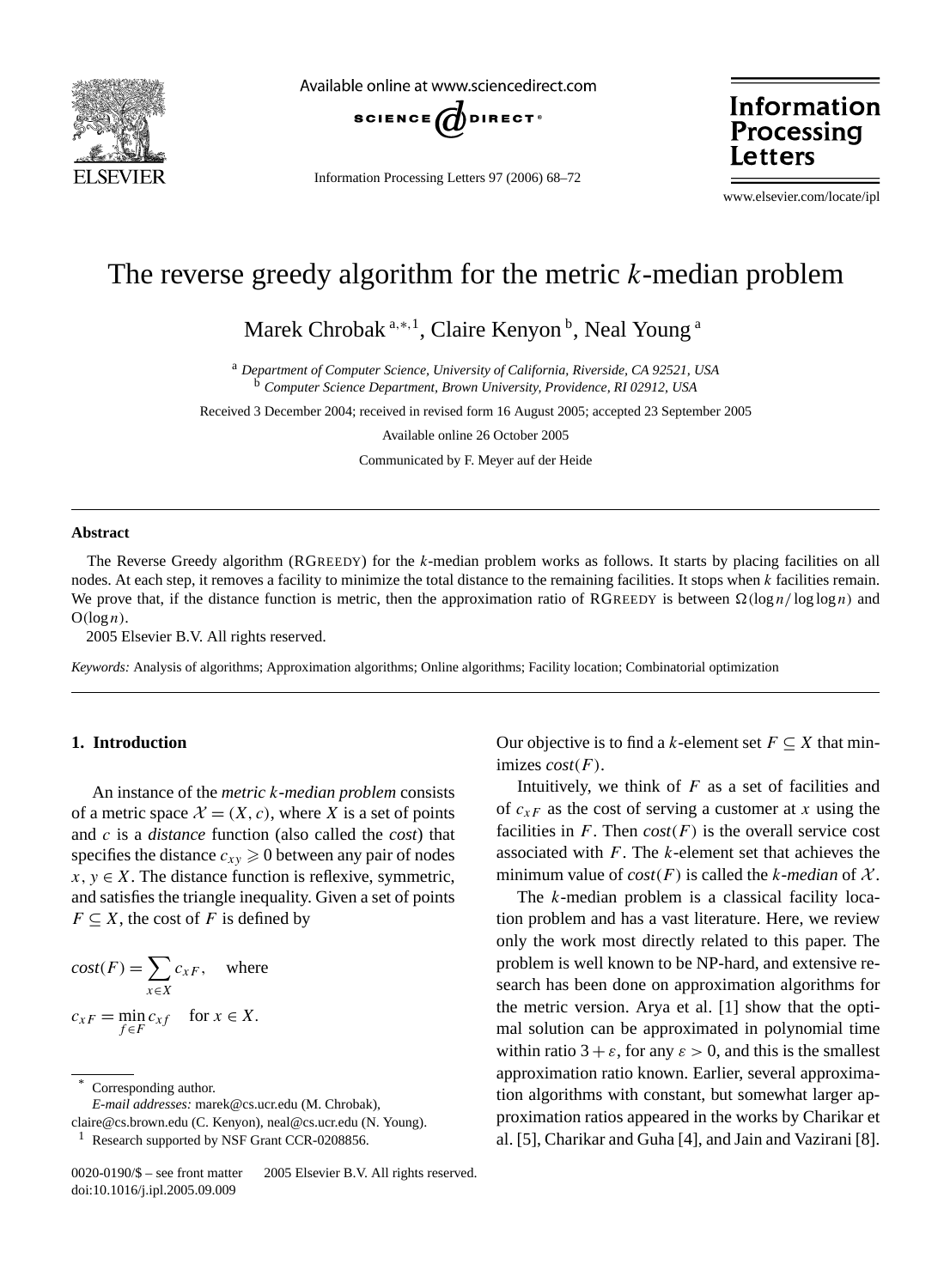

Available online at www.sciencedirect.com



Information Processing Letters 97 (2006) 68–72

Information Processing Letters

www.elsevier.com/locate/ipl

# The reverse greedy algorithm for the metric *k*-median problem

Marek Chrobak<sup>a,∗,1</sup>, Claire Kenyon<sup>b</sup>, Neal Young<sup>a</sup>

<sup>a</sup> *Department of Computer Science, University of California, Riverside, CA 92521, USA* <sup>b</sup> *Computer Science Department, Brown University, Providence, RI 02912, USA*

Received 3 December 2004; received in revised form 16 August 2005; accepted 23 September 2005

Available online 26 October 2005

Communicated by F. Meyer auf der Heide

# **Abstract**

The Reverse Greedy algorithm (RGREEDY) for the *k*-median problem works as follows. It starts by placing facilities on all nodes. At each step, it removes a facility to minimize the total distance to the remaining facilities. It stops when *k* facilities remain. We prove that, if the distance function is metric, then the approximation ratio of RGREEDY is between  $\Omega(\log n / \log \log n)$  and  $O(log n)$ .

2005 Elsevier B.V. All rights reserved.

*Keywords:* Analysis of algorithms; Approximation algorithms; Online algorithms; Facility location; Combinatorial optimization

## **1. Introduction**

An instance of the *metric k*-*median problem* consists of a metric space  $\mathcal{X} = (X, c)$ , where X is a set of points and *c* is a *distance* function (also called the *cost*) that specifies the distance  $c_{xy} \ge 0$  between any pair of nodes  $x, y \in X$ . The distance function is reflexive, symmetric, and satisfies the triangle inequality. Given a set of points  $F \subseteq X$ , the cost of *F* is defined by

$$
cost(F) = \sum_{x \in X} c_{xF}, \text{ where}
$$
  

$$
c_{xF} = \min_{f \in F} c_{xf} \text{ for } x \in X.
$$

Corresponding author.

*E-mail addresses:* marek@cs.ucr.edu (M. Chrobak),

claire@cs.brown.edu (C. Kenyon), neal@cs.ucr.edu (N. Young).

<sup>1</sup> Research supported by NSF Grant CCR-0208856.

0020-0190/\$ – see front matter © 2005 Elsevier B.V. All rights reserved. doi:10.1016/j.ipl.2005.09.009

Our objective is to find a *k*-element set  $F \subseteq X$  that minimizes *cost(F )*.

Intuitively, we think of *F* as a set of facilities and of  $c_{xF}$  as the cost of serving a customer at *x* using the facilities in  $F$ . Then  $cost(F)$  is the overall service cost associated with *F*. The *k*-element set that achieves the minimum value of  $cost(F)$  is called the *k-median* of  $X$ .

The *k*-median problem is a classical facility location problem and has a vast literature. Here, we review only the work most directly related to this paper. The problem is well known to be NP-hard, and extensive research has been done on approximation algorithms for the metric version. Arya et al. [1] show that the optimal solution can be approximated in polynomial time within ratio  $3 + \varepsilon$ , for any  $\varepsilon > 0$ , and this is the smallest approximation ratio known. Earlier, several approximation algorithms with constant, but somewhat larger approximation ratios appeared in the works by Charikar et al. [5], Charikar and Guha [4], and Jain and Vazirani [8].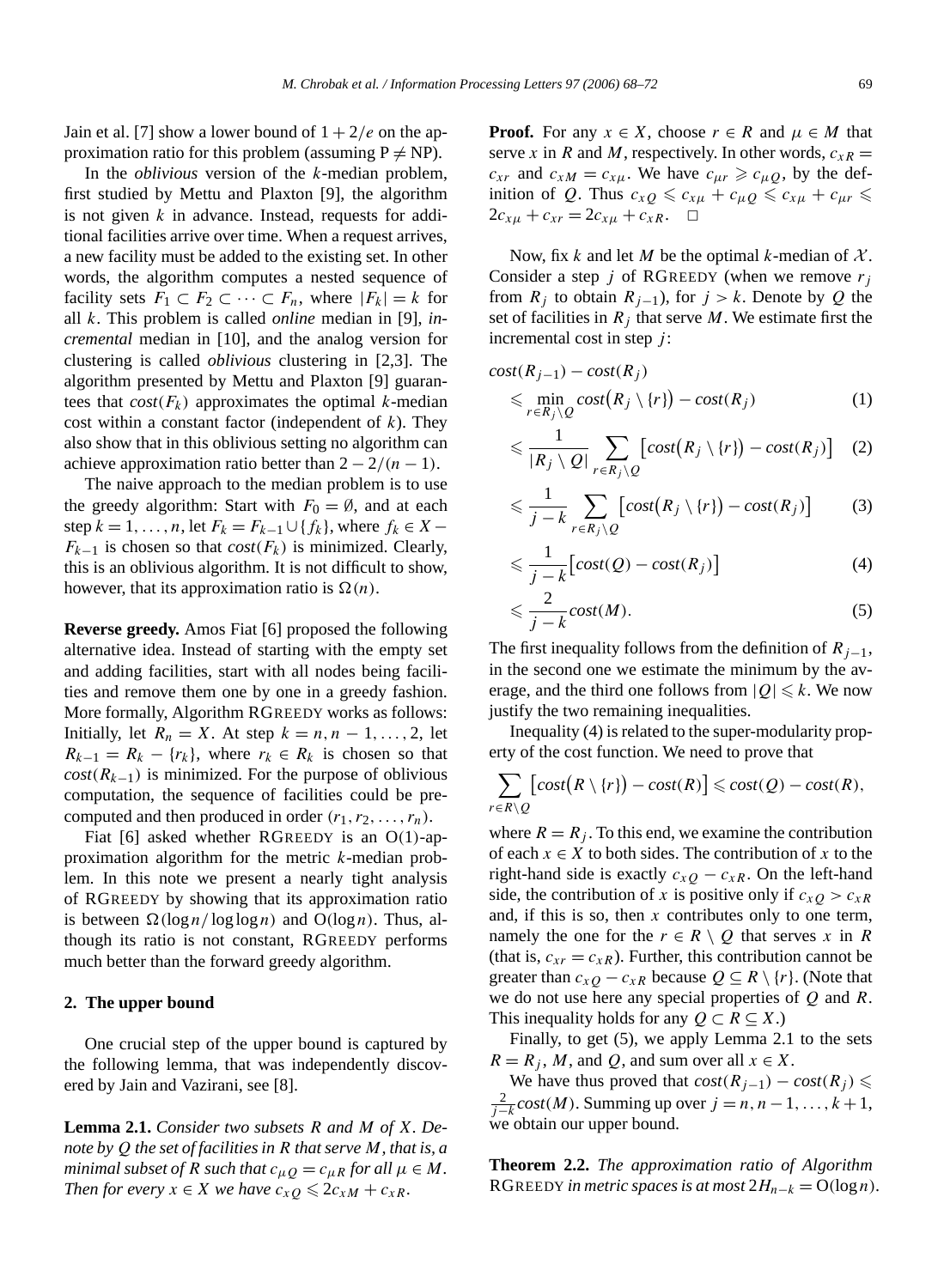Jain et al. [7] show a lower bound of  $1 + 2/e$  on the approximation ratio for this problem (assuming  $P \neq NP$ ).

In the *oblivious* version of the *k*-median problem, first studied by Mettu and Plaxton [9], the algorithm is not given *k* in advance. Instead, requests for additional facilities arrive over time. When a request arrives, a new facility must be added to the existing set. In other words, the algorithm computes a nested sequence of facility sets  $F_1 \subset F_2 \subset \cdots \subset F_n$ , where  $|F_k| = k$  for all *k*. This problem is called *online* median in [9], *incremental* median in [10], and the analog version for clustering is called *oblivious* clustering in [2,3]. The algorithm presented by Mettu and Plaxton [9] guarantees that  $cost(F_k)$  approximates the optimal *k*-median cost within a constant factor (independent of *k*). They also show that in this oblivious setting no algorithm can achieve approximation ratio better than  $2 - \frac{2}{n-1}$ .

The naive approach to the median problem is to use the greedy algorithm: Start with  $F_0 = \emptyset$ , and at each step  $k = 1, ..., n$ , let  $F_k = F_{k-1} \cup \{f_k\}$ , where  $f_k \in X F_{k-1}$  is chosen so that *cost*( $F_k$ ) is minimized. Clearly, this is an oblivious algorithm. It is not difficult to show, however, that its approximation ratio is  $\Omega(n)$ .

**Reverse greedy.** Amos Fiat [6] proposed the following alternative idea. Instead of starting with the empty set and adding facilities, start with all nodes being facilities and remove them one by one in a greedy fashion. More formally, Algorithm RGREEDY works as follows: Initially, let  $R_n = X$ . At step  $k = n, n - 1, \ldots, 2$ , let  $R_{k-1} = R_k - \{r_k\}$ , where  $r_k \in R_k$  is chosen so that  $cost(R_{k-1})$  is minimized. For the purpose of oblivious computation, the sequence of facilities could be precomputed and then produced in order  $(r_1, r_2, \ldots, r_n)$ .

Fiat [6] asked whether RGREEDY is an O*(*1*)*-approximation algorithm for the metric *k*-median problem. In this note we present a nearly tight analysis of RGREEDY by showing that its approximation ratio is between  $\Omega(\log n / \log \log n)$  and  $O(\log n)$ . Thus, although its ratio is not constant, RGREEDY performs much better than the forward greedy algorithm.

#### **2. The upper bound**

One crucial step of the upper bound is captured by the following lemma, that was independently discovered by Jain and Vazirani, see [8].

**Lemma 2.1.** *Consider two subsets R and M of X. Denote by Q the set of facilities in R that serve M, that is, a minimal subset of R such that*  $c_{\mu}$  $\partial = c_{\mu}$ *R for all*  $\mu \in M$ *. Then for every*  $x \in X$  *we have*  $c_{xQ} \leqslant 2c_{xM} + c_{xR}$ *.* 

**Proof.** For any  $x \in X$ , choose  $r \in R$  and  $\mu \in M$  that serve *x* in *R* and *M*, respectively. In other words,  $c_{xR}$  =  $c_{xr}$  and  $c_{xM} = c_{x\mu}$ . We have  $c_{\mu r} \geq c_{\mu Q}$ , by the definition of *Q*. Thus  $c_{xQ} \leqslant c_{x\mu} + c_{\mu Q} \leqslant c_{x\mu} + c_{\mu r} \leqslant$  $2c_{x\mu} + c_{xr} = 2c_{x\mu} + c_{xR}$ .  $\Box$ 

Now, fix *k* and let *M* be the optimal *k*-median of  $X$ . Consider a step *j* of RGREEDY (when we remove *rj* from  $R_j$  to obtain  $R_{j-1}$ ), for  $j > k$ . Denote by  $Q$  the set of facilities in  $R_i$  that serve  $M$ . We estimate first the incremental cost in step *j* :

$$
cost(R_{j-1}) - cost(R_j)
$$
  
\$\leq\$ min<sub>r∈R\_j\setminus Q</sub> cost(R\_j \setminus \{r\}) - cost(R\_j) \qquad (1)

$$
\leqslant \frac{1}{|R_j \setminus Q|} \sum_{r \in R_j \setminus Q} \left[ cost\big(R_j \setminus \{r\}\big) - cost(R_j) \right] \quad (2)
$$

$$
\leqslant \frac{1}{j-k} \sum_{r \in R_j \setminus Q} \left[ cost(R_j \setminus \{r\}) - cost(R_j) \right] \tag{3}
$$

$$
\leqslant \frac{1}{j-k} \big[ cost(Q) - cost(R_j) \big] \tag{4}
$$

$$
\leqslant \frac{2}{j-k} cost(M). \tag{5}
$$

The first inequality follows from the definition of  $R_{j-1}$ , in the second one we estimate the minimum by the average, and the third one follows from  $|Q| \le k$ . We now justify the two remaining inequalities.

Inequality (4) is related to the super-modularity property of the cost function. We need to prove that

$$
\sum_{r \in R \setminus Q} [cost(R \setminus \{r\}) - cost(R)] \leq cost(Q) - cost(R),
$$

where  $R = R_i$ . To this end, we examine the contribution of each  $x \in X$  to both sides. The contribution of x to the right-hand side is exactly  $c_{xQ} - c_{xR}$ . On the left-hand side, the contribution of *x* is positive only if  $c_{xQ} > c_{xR}$ and, if this is so, then *x* contributes only to one term, namely the one for the  $r \in R \setminus Q$  that serves *x* in *R* (that is,  $c_{xr} = c_{xR}$ ). Further, this contribution cannot be greater than  $c_{xQ} - c_{xR}$  because  $Q \subseteq R \setminus \{r\}$ . (Note that we do not use here any special properties of *Q* and *R*. This inequality holds for any  $Q \subset R \subseteq X$ .)

Finally, to get (5), we apply Lemma 2.1 to the sets  $R = R_i$ , *M*, and *Q*, and sum over all  $x \in X$ .

We have thus proved that  $cost(R_{j-1}) - cost(R_j) \le$ 2 *<sup>j</sup>*−*<sup>k</sup> cost(M)*. Summing up over *j* = *n, n*−1*,...,k* +1, we obtain our upper bound.

**Theorem 2.2.** *The approximation ratio of Algorithm* RGREEDY *in metric spaces is at most*  $2H_{n-k} = O(\log n)$ *.*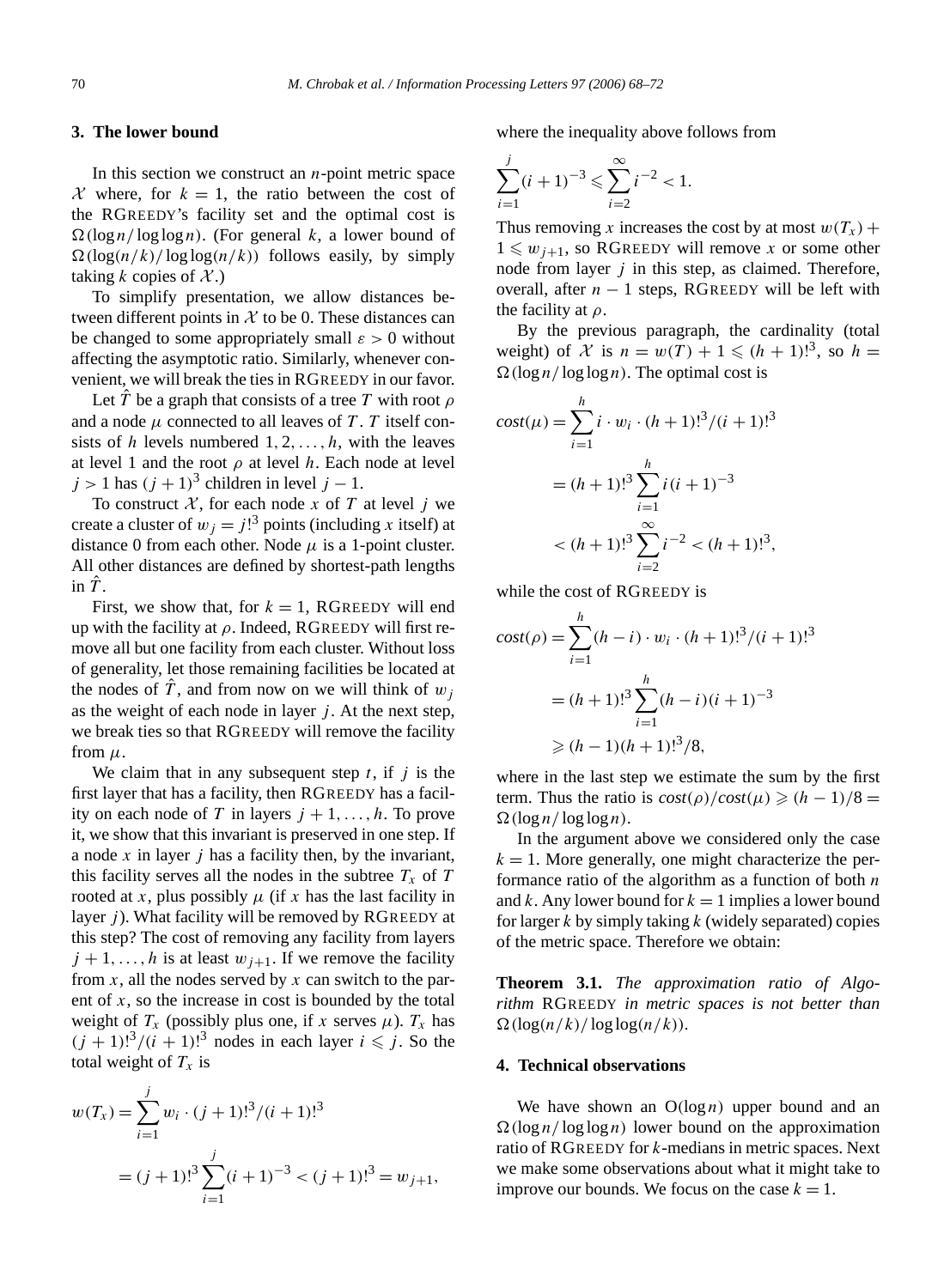# **3. The lower bound**

In this section we construct an *n*-point metric space  $\mathcal X$  where, for  $k = 1$ , the ratio between the cost of the RGREEDY's facility set and the optimal cost is  $\Omega(\log n / \log \log n)$ . (For general *k*, a lower bound of  $\Omega(\log(n/k)/\log\log(n/k))$  follows easily, by simply taking  $k$  copies of  $\mathcal{X}$ .)

To simplify presentation, we allow distances between different points in  $X$  to be 0. These distances can be changed to some appropriately small  $\varepsilon > 0$  without affecting the asymptotic ratio. Similarly, whenever convenient, we will break the ties in RGREEDY in our favor.

Let  $\hat{T}$  be a graph that consists of a tree  $T$  with root  $\rho$ and a node  $\mu$  connected to all leaves of  $T$ .  $T$  itself consists of *h* levels numbered 1*,* 2*,...,h*, with the leaves at level 1 and the root  $\rho$  at level *h*. Each node at level  $j > 1$  has  $(j + 1)^3$  children in level  $j - 1$ .

To construct  $\mathcal{X}$ , for each node  $\bar{x}$  of  $\bar{T}$  at level  $\bar{j}$  we create a cluster of  $w_j = j!^3$  points (including *x* itself) at distance 0 from each other. Node  $\mu$  is a 1-point cluster. All other distances are defined by shortest-path lengths in  $\hat{T}$ .

First, we show that, for  $k = 1$ , RGREEDY will end up with the facility at *ρ*. Indeed, RGREEDY will first remove all but one facility from each cluster. Without loss of generality, let those remaining facilities be located at the nodes of  $\hat{T}$ , and from now on we will think of  $w_i$ as the weight of each node in layer  $j$ . At the next step, we break ties so that RGREEDY will remove the facility from  $\mu$ .

We claim that in any subsequent step *t*, if *j* is the first layer that has a facility, then RGREEDY has a facility on each node of *T* in layers  $j + 1, \ldots, h$ . To prove it, we show that this invariant is preserved in one step. If a node *x* in layer *j* has a facility then, by the invariant, this facility serves all the nodes in the subtree  $T_x$  of  $T$ rooted at *x*, plus possibly  $\mu$  (if *x* has the last facility in layer *j*). What facility will be removed by RGREEDY at this step? The cost of removing any facility from layers  $j + 1, \ldots, h$  is at least  $w_{j+1}$ . If we remove the facility from *x*, all the nodes served by *x* can switch to the parent of *x*, so the increase in cost is bounded by the total weight of  $T_x$  (possibly plus one, if *x* serves  $\mu$ ).  $T_x$  has  $(j + 1)!^3/(i + 1)!^3$  nodes in each layer  $i \le j$ . So the total weight of  $T_x$  is

$$
w(T_x) = \sum_{i=1}^{j} w_i \cdot (j+1)!^3 / (i+1)!^3
$$
  
=  $(j+1)!^3 \sum_{i=1}^{j} (i+1)^{-3} < (j+1)!^3 = w_{j+1}$ ,

where the inequality above follows from

$$
\sum_{i=1}^{j} (i+1)^{-3} \leqslant \sum_{i=2}^{\infty} i^{-2} < 1.
$$

Thus removing *x* increases the cost by at most  $w(T_x)$  +  $1 \leq w_{j+1}$ , so RGREEDY will remove *x* or some other node from layer *j* in this step, as claimed. Therefore, overall, after  $n - 1$  steps, RGREEDY will be left with the facility at *ρ*.

By the previous paragraph, the cardinality (total weight) of X is  $n = w(T) + 1 \leq (h + 1)!^3$ , so  $h =$  $\Omega(\log n / \log \log n)$ . The optimal cost is

$$
cost(\mu) = \sum_{i=1}^{h} i \cdot w_i \cdot (h+1)!^3 / (i+1)!^3
$$

$$
= (h+1)!^3 \sum_{i=1}^{h} i (i+1)^{-3}
$$

$$
< (h+1)!^3 \sum_{i=2}^{\infty} i^{-2} < (h+1)!^3,
$$

while the cost of RGREEDY is

$$
cost(\rho) = \sum_{i=1}^{h} (h - i) \cdot w_i \cdot (h + 1)!^3 / (i + 1)!^3
$$

$$
= (h + 1)!^3 \sum_{i=1}^{h} (h - i)(i + 1)^{-3}
$$

$$
\geq (h - 1)(h + 1)!^3 / 8,
$$

where in the last step we estimate the sum by the first term. Thus the ratio is  $cost(\rho)/cost(\mu) \ge (h-1)/8$  =  $\Omega(\log n / \log \log n)$ .

In the argument above we considered only the case  $k = 1$ . More generally, one might characterize the performance ratio of the algorithm as a function of both *n* and *k*. Any lower bound for  $k = 1$  implies a lower bound for larger *k* by simply taking *k* (widely separated) copies of the metric space. Therefore we obtain:

**Theorem 3.1.** *The approximation ratio of Algorithm* RGREEDY *in metric spaces is not better than*  $\Omega(\log(n/k)/\log\log(n/k))$ *.* 

### **4. Technical observations**

We have shown an  $O(log n)$  upper bound and an  $\Omega(\log n / \log \log n)$  lower bound on the approximation ratio of RGREEDY for *k*-medians in metric spaces. Next we make some observations about what it might take to improve our bounds. We focus on the case  $k = 1$ .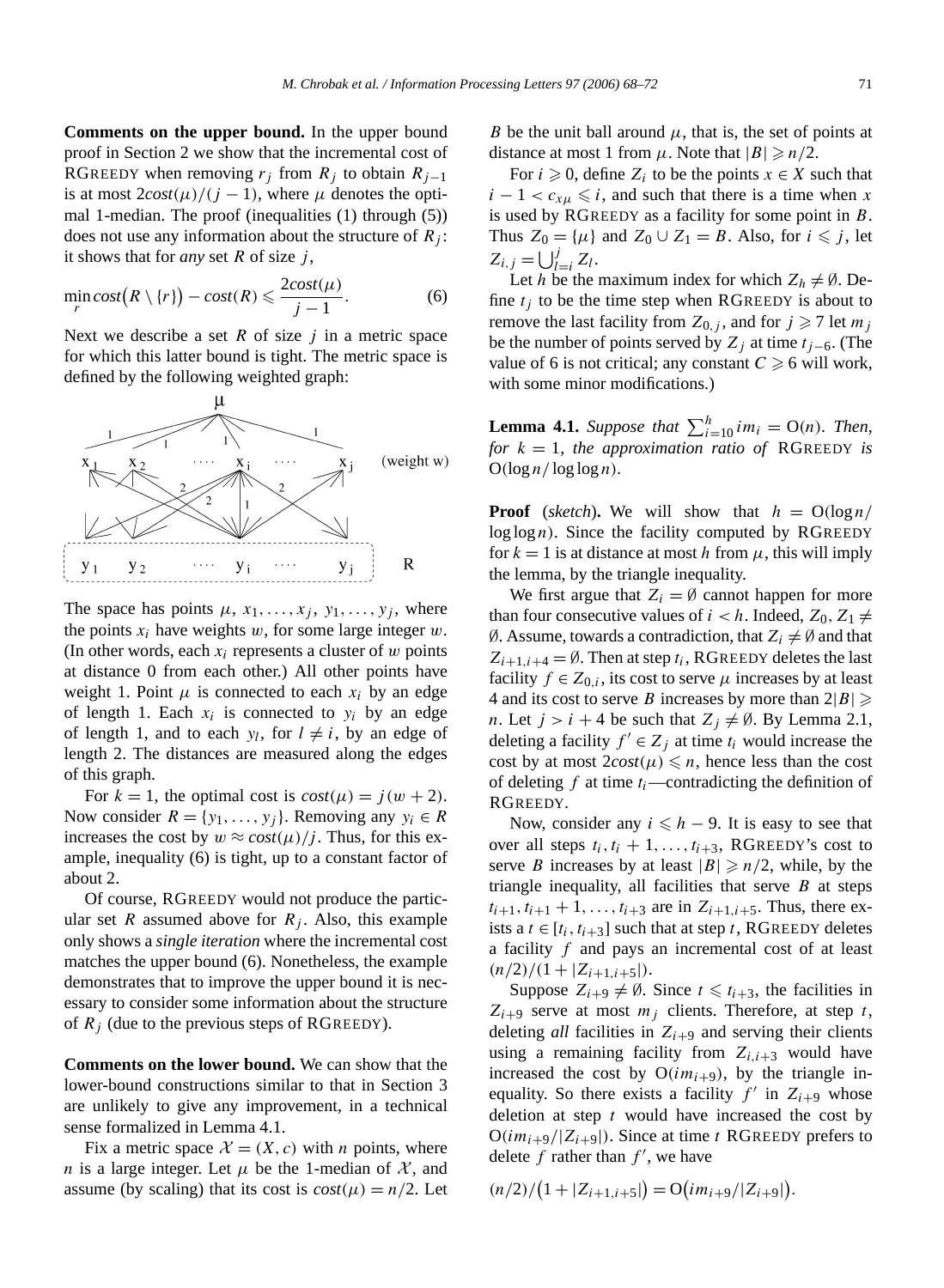**Comments on the upper bound.** In the upper bound proof in Section 2 we show that the incremental cost of RGREEDY when removing  $r_j$  from  $R_j$  to obtain  $R_{j-1}$ is at most  $2\cos(t\mu)/(j-1)$ , where  $\mu$  denotes the optimal 1-median. The proof (inequalities (1) through (5)) does not use any information about the structure of  $R_i$ : it shows that for *any* set *R* of size *j* ,

$$
\min_{r} cost(R \setminus \{r\}) - cost(R) \leqslant \frac{2cost(\mu)}{j-1}.\tag{6}
$$

Next we describe a set  $R$  of size  $j$  in a metric space for which this latter bound is tight. The metric space is defined by the following weighted graph:



The space has points  $\mu$ ,  $x_1, \ldots, x_j$ ,  $y_1, \ldots, y_j$ , where the points  $x_i$  have weights  $w$ , for some large integer  $w$ . (In other words, each *xi* represents a cluster of *w* points at distance 0 from each other.) All other points have weight 1. Point  $\mu$  is connected to each  $x_i$  by an edge of length 1. Each  $x_i$  is connected to  $y_i$  by an edge of length 1, and to each  $y_l$ , for  $l \neq i$ , by an edge of length 2. The distances are measured along the edges of this graph.

For  $k = 1$ , the optimal cost is  $cost(\mu) = j(w + 2)$ . Now consider  $R = \{y_1, \ldots, y_j\}$ . Removing any  $y_i \in R$ increases the cost by  $w \approx cost(\mu)/j$ . Thus, for this example, inequality (6) is tight, up to a constant factor of about 2.

Of course, RGREEDY would not produce the particular set *R* assumed above for  $R_i$ . Also, this example only shows a *single iteration* where the incremental cost matches the upper bound (6). Nonetheless, the example demonstrates that to improve the upper bound it is necessary to consider some information about the structure of  $R_j$  (due to the previous steps of RGREEDY).

**Comments on the lower bound.** We can show that the lower-bound constructions similar to that in Section 3 are unlikely to give any improvement, in a technical sense formalized in Lemma 4.1.

Fix a metric space  $\mathcal{X} = (X, c)$  with *n* points, where *n* is a large integer. Let  $\mu$  be the 1-median of  $\mathcal{X}$ , and assume (by scaling) that its cost is  $cost(\mu) = n/2$ . Let

*B* be the unit ball around  $\mu$ , that is, the set of points at distance at most 1 from  $\mu$ . Note that  $|B| \ge n/2$ .

For  $i \geq 0$ , define  $Z_i$  to be the points  $x \in X$  such that  $i - 1 < c_{x\mu} \leq i$ , and such that there is a time when *x* is used by RGREEDY as a facility for some point in *B*. Thus  $Z_0 = {\mu}$  and  $Z_0 \cup Z_1 = B$ . Also, for  $i \le j$ , let  $Z_{i,j} = \bigcup_{l=i}^{j} Z_l$ .

Let *h* be the maximum index for which  $Z_h \neq \emptyset$ . Define  $t_i$  to be the time step when RGREEDY is about to remove the last facility from  $Z_{0,j}$ , and for  $j \ge 7$  let  $m_j$ be the number of points served by *Zj* at time *tj*−6. (The value of 6 is not critical; any constant  $C \ge 6$  will work, with some minor modifications.)

**Lemma 4.1.** *Suppose that*  $\sum_{i=10}^{h} i m_i = O(n)$ *. Then, for*  $k = 1$ *, the approximation ratio of* RGREEDY *is*  $O(log n / log log n)$ *.* 

**Proof** (*sketch*). We will show that  $h = O(\log n)$  $log log n$ ). Since the facility computed by RGREEDY for  $k = 1$  is at distance at most h from  $\mu$ , this will imply the lemma, by the triangle inequality.

We first argue that  $Z_i = \emptyset$  cannot happen for more than four consecutive values of  $i < h$ . Indeed,  $Z_0, Z_1 \neq$  $\emptyset$ . Assume, towards a contradiction, that  $Z_i \neq \emptyset$  and that  $Z_{i+1,i+4} = \emptyset$ . Then at step  $t_i$ , RGREEDY deletes the last facility  $f \in Z_{0,i}$ , its cost to serve  $\mu$  increases by at least 4 and its cost to serve *B* increases by more than  $2|B| \ge$ *n*. Let  $j > i + 4$  be such that  $Z_i \neq \emptyset$ . By Lemma 2.1, deleting a facility  $f' \in Z_j$  at time  $t_i$  would increase the cost by at most  $2cost(\mu) \leq n$ , hence less than the cost of deleting  $f$  at time  $t_i$ —contradicting the definition of RGREEDY.

Now, consider any  $i \leq h - 9$ . It is easy to see that over all steps  $t_i, t_i + 1, \ldots, t_{i+3}$ , RGREEDY's cost to serve *B* increases by at least  $|B| \ge n/2$ , while, by the triangle inequality, all facilities that serve  $B$  at steps  $t_{i+1}, t_{i+1} + 1, \ldots, t_{i+3}$  are in  $Z_{i+1,i+5}$ . Thus, there exists a  $t \in [t_i, t_{i+3}]$  such that at step  $t$ , RGREEDY deletes a facility *f* and pays an incremental cost of at least  $(n/2)/(1 + |Z_{i+1,i+5}|).$ 

Suppose  $Z_{i+9} \neq \emptyset$ . Since  $t \leq t_{i+3}$ , the facilities in  $Z_{i+9}$  serve at most  $m_i$  clients. Therefore, at step *t*, deleting *all* facilities in  $Z_{i+9}$  and serving their clients using a remaining facility from  $Z_{i,i+3}$  would have increased the cost by  $O(im_{i+9})$ , by the triangle inequality. So there exists a facility  $f'$  in  $Z_{i+9}$  whose deletion at step *t* would have increased the cost by  $O(im_{i+9}/|Z_{i+9}|)$ . Since at time *t* RGREEDY prefers to delete  $f$  rather than  $f'$ , we have

$$
(n/2)/(1+|Z_{i+1,i+5}|) = O(im_{i+9}/|Z_{i+9}|).
$$